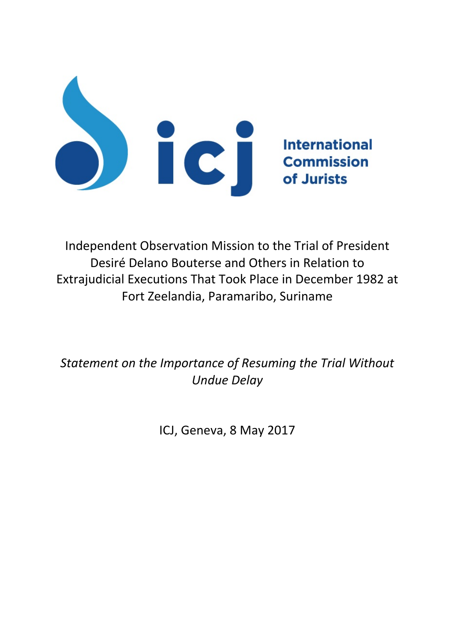

Independent Observation Mission to the Trial of President Desiré Delano Bouterse and Others in Relation to Extrajudicial Executions That Took Place in December 1982 at Fort Zeelandia, Paramaribo, Suriname

*Statement on the Importance of Resuming the Trial Without Undue Delay*

ICJ, Geneva, 8 May 2017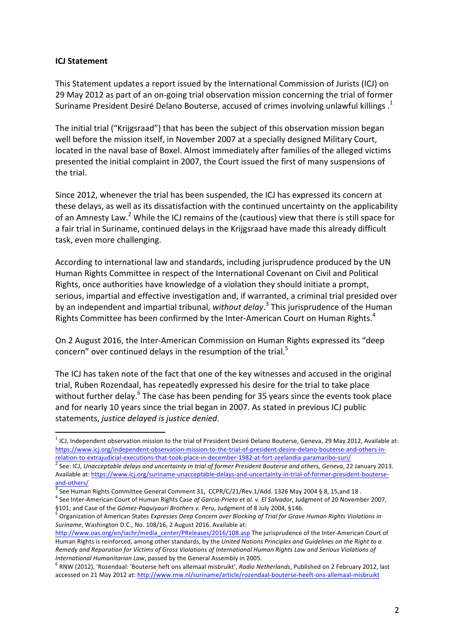## **ICJ Statement**

This Statement updates a report issued by the International Commission of Jurists (ICJ) on 29 May 2012 as part of an on-going trial observation mission concerning the trial of former Suriname President Desiré Delano Bouterse, accused of crimes involving unlawful killings .<sup>1</sup>

The initial trial ("Krijgsraad") that has been the subject of this observation mission began well before the mission itself, in November 2007 at a specially designed Military Court, located in the naval base of Boxel. Almost immediately after families of the alleged victims presented the initial complaint in 2007, the Court issued the first of many suspensions of the trial.

Since 2012, whenever the trial has been suspended, the ICJ has expressed its concern at these delays, as well as its dissatisfaction with the continued uncertainty on the applicability of an Amnesty Law.<sup>2</sup> While the ICJ remains of the (cautious) view that there is still space for a fair trial in Suriname, continued delays in the Krijgsraad have made this already difficult task, even more challenging.

According to international law and standards, including jurisprudence produced by the UN Human Rights Committee in respect of the International Covenant on Civil and Political Rights, once authorities have knowledge of a violation they should initiate a prompt, serious, impartial and effective investigation and, if warranted, a criminal trial presided over by an independent and impartial tribunal, *without delay*.<sup>3</sup> This jurisprudence of the Human Rights Committee has been confirmed by the Inter-American Court on Human Rights. $4$ 

On 2 August 2016, the Inter-American Commission on Human Rights expressed its "deep concern" over continued delays in the resumption of the trial. $5$ 

The ICJ has taken note of the fact that one of the key witnesses and accused in the original trial, Ruben Rozendaal, has repeatedly expressed his desire for the trial to take place without further delay.<sup>6</sup> The case has been pending for 35 years since the events took place and for nearly 10 years since the trial began in 2007. As stated in previous ICJ public statements, *justice delayed is justice denied*.

 $1$  ICJ, Independent observation mission to the trial of President Desiré Delano Bouterse, Geneva, 29 May 2012, Available at: https://www.icj.org/independent-observation-mission-to-the-trial-of-president-desire-delano-bouterse-and-others-in-

relation-to-extrajudicial-executions-that-took-place-in-december-1982-at-fort-zeelandia-paramaribo-suri/<br>
<sup>2</sup> See: ICJ, Unacceptable delays and uncertainty in trial of former President Bouterse and others, Geneva, 22 Janua Available at: https://www.icj.org/suriname-unacceptable-delays-and-uncertainty-in-trial-of-former-president-bouterseand-others/<br>  $\frac{3}{3}$  See Human Rights Committee General Comment 31, CCPR/C/21/Rev.1/Add. 1326 May 2004 § 8, 15, and 18.<br>  $^4$  See Inter-American Court of Human Rights Case of García-Prieto et al. v. El Salvador, Judgmen

<sup>§101;</sup> and Case of the *Gómez-Paquiyauri Brothers v. Peru, Judgment of 8 July 2004,* §146.<br><sup>5</sup> Organization of American States *Expresses Deep Concern over Blocking of Trial for Grave Human Rights Violations in* 

*Suriname*, Washington D.C., No. 108/16, 2 August 2016. Available at:

http://www.oas.org/en/iachr/media\_center/PReleases/2016/108.asp The jurisprudence of the Inter-American Court of Human Rights is reinforced, among other standards, by the United Nations Principles and Guidelines on the Right to a *Remedy and Reparation for Victims of Gross Violations of International Human Rights Law and Serious Violations of International Humanitarian Law*, passed by the General Assembly in 2005.<br><sup>6</sup> RNW (2012), 'Rozendaal: 'Bouterse heft ons allemaal misbruikt', *Radio Netherlands*, Published on 2 February 2012, last

accessed on 21 May 2012 at: http://www.rnw.nl/suriname/article/rozendaal-bouterse-heeft-ons-allemaal-misbruikt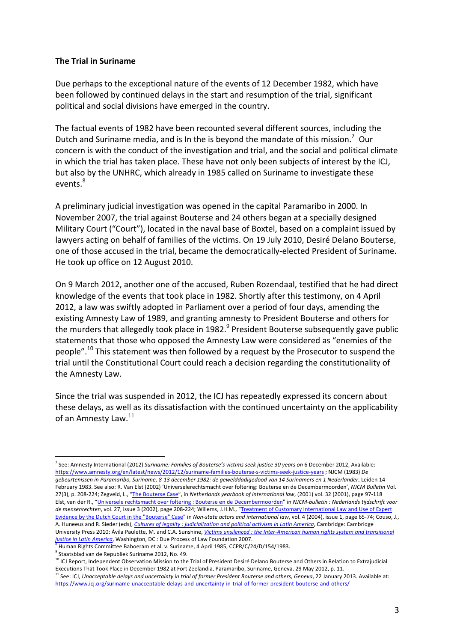## **The Trial in Suriname**

Due perhaps to the exceptional nature of the events of 12 December 1982, which have been followed by continued delays in the start and resumption of the trial, significant political and social divisions have emerged in the country.

The factual events of 1982 have been recounted several different sources, including the Dutch and Suriname media, and is In the is beyond the mandate of this mission.<sup>7</sup> Our concern is with the conduct of the investigation and trial, and the social and political climate in which the trial has taken place. These have not only been subjects of interest by the ICJ, but also by the UNHRC, which already in 1985 called on Suriname to investigate these events.<sup>8</sup>

A preliminary judicial investigation was opened in the capital Paramaribo in 2000. In November 2007, the trial against Bouterse and 24 others began at a specially designed Military Court ("Court"), located in the naval base of Boxtel, based on a complaint issued by lawyers acting on behalf of families of the victims. On 19 July 2010, Desiré Delano Bouterse, one of those accused in the trial, became the democratically-elected President of Suriname. He took up office on 12 August 2010.

On 9 March 2012, another one of the accused, Ruben Rozendaal, testified that he had direct knowledge of the events that took place in 1982. Shortly after this testimony, on 4 April 2012, a law was swiftly adopted in Parliament over a period of four days, amending the existing Amnesty Law of 1989, and granting amnesty to President Bouterse and others for the murders that allegedly took place in 1982.<sup>9</sup> President Bouterse subsequently gave public statements that those who opposed the Amnesty Law were considered as "enemies of the people".<sup>10</sup> This statement was then followed by a request by the Prosecutor to suspend the trial until the Constitutional Court could reach a decision regarding the constitutionality of the Amnesty Law.

Since the trial was suspended in 2012, the ICJ has repeatedly expressed its concern about these delays, as well as its dissatisfaction with the continued uncertainty on the applicability of an Amnesty Law. $^{11}$ 

<sup>&</sup>lt;sup>7</sup> See: Amnesty International (2012) *Suriname: Families of Bouterse's victims seek iustice 30 years on* 6 December 2012, Available: https://www.amnesty.org/en/latest/news/2012/12/suriname-families-bouterse-s-victims-seek-justice-years ; NJCM (1983) De *gebeurtenissen in Paramaribo, Suriname, 8-13 december 1982: de gewelddadigedood van 14 Surinamers en 1 Nederlander*, Leiden 14 February 1983. See also: R. Van Elst (2002) 'Universelerechtsmacht over foltering: Bouterse en de Decembermoorden', NJCM Bulletin Vol. 27(3), p. 208-224; Zegveld, L., "The Bouterse Case", in Netherlands yearbook of international law, (2001) vol. 32 (2001), page 97-118 Elst, van der R., "Universele rechtsmacht over foltering : Bouterse en de Decembermoorden" in *NJCM-bulletin : Nederlands tijdschrift voor* de mensenrechten, vol. 27, issue 3 (2002), page 208-224; Willems, J.H.M., "Treatment of Customary International Law and Use of Expert Evidence by the Dutch Court in the "Bouterse" Case" in *Non-state actors and international law*, vol. 4 (2004), issue 1, page 65-74; Couso, J., A. Huneeus and R. Sieder (eds), *Cultures of legality : judicialization and political activism in Latin America*, Cambridge: Cambridge University Press 2010; Ávila Paulette, M. and C.A. Sunshine, *Victims unsilenced : the Inter-American human rights system and transitional* 

*j<u>ustice in Latin America</u>,* Washington, DC : Due Process of Law Foundation 2007.<br><sup>8</sup> Human Rights Committee Baboeram et al. v. Suriname, 4 April 1985, CCPR/C/24/D/154/1983.

 $9$  Staatsblad van de Republiek Suriname 2012, No. 49.

<sup>&</sup>lt;sup>10</sup> ICJ Report, Independent Observation Mission to the Trial of President Desiré Delano Bouterse and Others in Relation to Extrajudicial Executions That Took Place in December 1982 at Fort Zeelandia, Paramaribo, Suriname, Geneva, 29 May 2012, p. 11. 11 See: ICJ, Unacceptable delays and uncertainty in trial of former President Bouterse and others, Geneva, 22 January 2013. Available at:

https://www.icj.org/suriname-unacceptable-delays-and-uncertainty-in-trial-of-former-president-bouterse-and-others/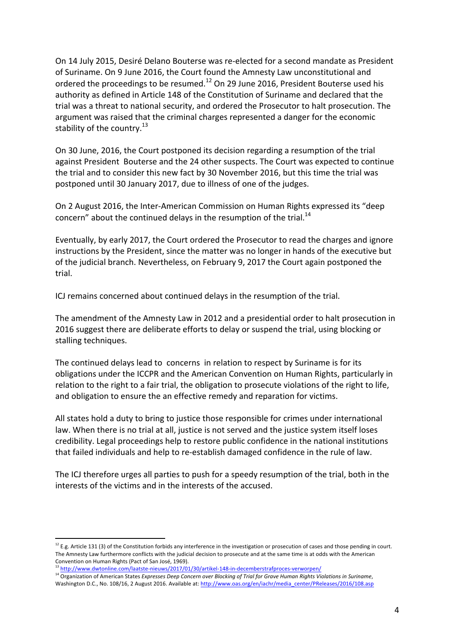On 14 July 2015, Desiré Delano Bouterse was re-elected for a second mandate as President of Suriname. On 9 June 2016, the Court found the Amnesty Law unconstitutional and ordered the proceedings to be resumed.<sup>12</sup> On 29 June 2016, President Bouterse used his authority as defined in Article 148 of the Constitution of Suriname and declared that the trial was a threat to national security, and ordered the Prosecutor to halt prosecution. The argument was raised that the criminal charges represented a danger for the economic stability of the country.<sup>13</sup>

On 30 June, 2016, the Court postponed its decision regarding a resumption of the trial against President Bouterse and the 24 other suspects. The Court was expected to continue the trial and to consider this new fact by 30 November 2016, but this time the trial was postponed until 30 January 2017, due to illness of one of the judges.

On 2 August 2016, the Inter-American Commission on Human Rights expressed its "deep concern" about the continued delays in the resumption of the trial. $^{14}$ 

Eventually, by early 2017, the Court ordered the Prosecutor to read the charges and ignore instructions by the President, since the matter was no longer in hands of the executive but of the judicial branch. Nevertheless, on February 9, 2017 the Court again postponed the trial.

ICJ remains concerned about continued delays in the resumption of the trial.

The amendment of the Amnesty Law in 2012 and a presidential order to halt prosecution in 2016 suggest there are deliberate efforts to delay or suspend the trial, using blocking or stalling techniques. 

The continued delays lead to concerns in relation to respect by Suriname is for its obligations under the ICCPR and the American Convention on Human Rights, particularly in relation to the right to a fair trial, the obligation to prosecute violations of the right to life, and obligation to ensure the an effective remedy and reparation for victims.

All states hold a duty to bring to justice those responsible for crimes under international law. When there is no trial at all, justice is not served and the justice system itself loses credibility. Legal proceedings help to restore public confidence in the national institutions that failed individuals and help to re-establish damaged confidence in the rule of law.

The ICJ therefore urges all parties to push for a speedy resumption of the trial, both in the interests of the victims and in the interests of the accused.

 $12$  E.g. Article 131 (3) of the Constitution forbids any interference in the investigation or prosecution of cases and those pending in court. The Amnesty Law furthermore conflicts with the judicial decision to prosecute and at the same time is at odds with the American Convention on Human Rights (Pact of San José, 1969).

<sup>13</sup> http://www.dwtonline.com/laatste-nieuws/2017/01/30/artikel-148-in-decemberstrafproces-verworpen/

<sup>14</sup> Organization of American States *Expresses Deep Concern over Blocking of Trial for Grave Human Rights Violations in Suriname*, Washington D.C., No. 108/16, 2 August 2016. Available at: http://www.oas.org/en/iachr/media\_center/PReleases/2016/108.asp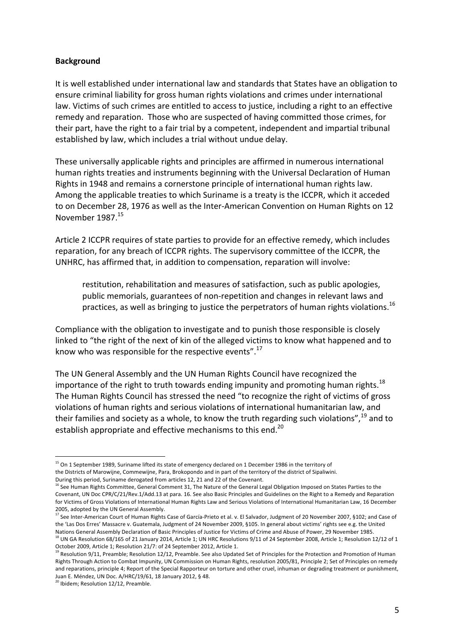## **Background**

It is well established under international law and standards that States have an obligation to ensure criminal liability for gross human rights violations and crimes under international law. Victims of such crimes are entitled to access to justice, including a right to an effective remedy and reparation. Those who are suspected of having committed those crimes, for their part, have the right to a fair trial by a competent, independent and impartial tribunal established by law, which includes a trial without undue delay.

These universally applicable rights and principles are affirmed in numerous international human rights treaties and instruments beginning with the Universal Declaration of Human Rights in 1948 and remains a cornerstone principle of international human rights law. Among the applicable treaties to which Suriname is a treaty is the ICCPR, which it acceded to on December 28, 1976 as well as the Inter-American Convention on Human Rights on 12 November 1987.<sup>15</sup>

Article 2 ICCPR requires of state parties to provide for an effective remedy, which includes reparation, for any breach of ICCPR rights. The supervisory committee of the ICCPR, the UNHRC, has affirmed that, in addition to compensation, reparation will involve:

restitution, rehabilitation and measures of satisfaction, such as public apologies, public memorials, guarantees of non-repetition and changes in relevant laws and practices, as well as bringing to justice the perpetrators of human rights violations.<sup>16</sup>

Compliance with the obligation to investigate and to punish those responsible is closely linked to "the right of the next of kin of the alleged victims to know what happened and to know who was responsible for the respective events". $^{17}$ 

The UN General Assembly and the UN Human Rights Council have recognized the importance of the right to truth towards ending impunity and promoting human rights.<sup>18</sup> The Human Rights Council has stressed the need "to recognize the right of victims of gross violations of human rights and serious violations of international humanitarian law, and their families and society as a whole, to know the truth regarding such violations",  $19$  and to establish appropriate and effective mechanisms to this end.<sup>20</sup>

<sup>&</sup>lt;sup>15</sup> On 1 September 1989, Suriname lifted its state of emergency declared on 1 December 1986 in the territory of the Districts of Marowijne, Commewijne, Para, Brokopondo and in part of the territory of the district of Sipaliwini. During this period, Suriname derogated from articles 12, 21 and 22 of the Covenant.

<sup>&</sup>lt;sup>16</sup> See Human Rights Committee, General Comment 31, The Nature of the General Legal Obligation Imposed on States Parties to the Covenant, UN Doc CPR/C/21/Rev.1/Add.13 at para. 16. See also Basic Principles and Guidelines on the Right to a Remedy and Reparation for Victims of Gross Violations of International Human Rights Law and Serious Violations of International Humanitarian Law, 16 December 2005, adopted by the UN General Assembly.

<sup>17</sup> See Inter-American Court of Human Rights Case of García-Prieto et al. v. El Salvador, Judgment of 20 November 2007, §102; and Case of the 'Las Dos Erres' Massacre v. Guatemala, Judgment of 24 November 2009, §105. In general about victims' rights see e.g. the United Nations General Assembly Declaration of Basic Principles of Justice for Victims of Crime and Abuse of Power, 29 November 1985.

<sup>18</sup> UN GA Resolution 68/165 of 21 January 2014, Article 1; UN HRC Resolutions 9/11 of 24 September 2008, Article 1; Resolution 12/12 of 1 October 2009, Article 1; Resolution 21/7: of 24 September 2012, Article 1.

 $19$  Resolution 9/11, Preamble; Resolution 12/12, Preamble. See also Updated Set of Principles for the Protection and Promotion of Human Rights Through Action to Combat Impunity, UN Commission on Human Rights, resolution 2005/81, Principle 2; Set of Principles on remedy and reparations, principle 4; Report of the Special Rapporteur on torture and other cruel, inhuman or degrading treatment or punishment, Juan E. Méndez, UN Doc. A/HRC/19/61, 18 January 2012, § 48.

 $20$  Ibidem; Resolution 12/12, Preamble.